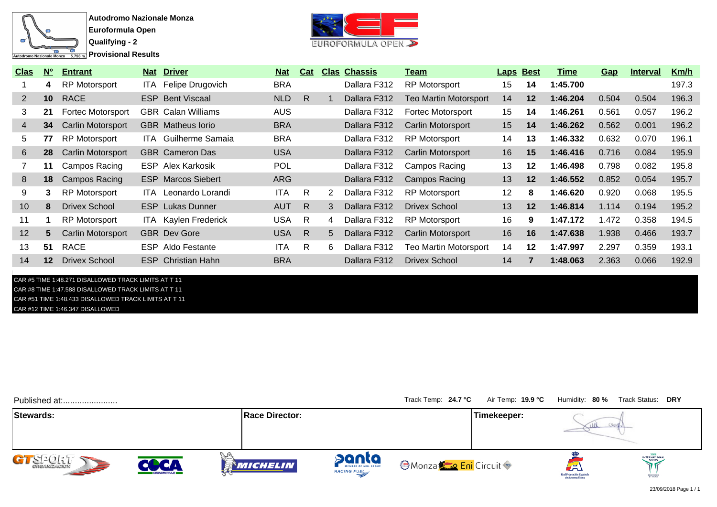

**Provisional Results** 



| <u>Clas</u>     | $N^{\circ}$     | <b>Entrant</b>           | <b>Nat Driver</b>           | <u>Nat</u> | Cat          |   | <b>Clas Chassis</b> | <u>Team</u>                  | <b>Laps Best</b> |         | Time     | Gap   | <u>Interval</u> | Km/h  |
|-----------------|-----------------|--------------------------|-----------------------------|------------|--------------|---|---------------------|------------------------------|------------------|---------|----------|-------|-----------------|-------|
|                 | 4               | <b>RP Motorsport</b>     | ITA Felipe Drugovich        | <b>BRA</b> |              |   | Dallara F312        | <b>RP Motorsport</b>         | 15               | 14      | 1:45.700 |       |                 | 197.3 |
| $\mathbf{2}$    | 10 <sup>1</sup> | <b>RACE</b>              | <b>ESP</b> Bent Viscaal     | <b>NLD</b> | R.           |   | Dallara F312        | <b>Teo Martin Motorsport</b> | 14               | $12 \,$ | 1:46.204 | 0.504 | 0.504           | 196.3 |
| 3               | 21              | <b>Fortec Motorsport</b> | <b>GBR</b> Calan Williams   | <b>AUS</b> |              |   | Dallara F312        | <b>Fortec Motorsport</b>     | 15               | 14      | 1:46.261 | 0.561 | 0.057           | 196.2 |
| 4               | 34              | <b>Carlin Motorsport</b> | <b>GBR</b> Matheus lorio    | <b>BRA</b> |              |   | Dallara F312        | <b>Carlin Motorsport</b>     | 15               | 14      | 1:46.262 | 0.562 | 0.001           | 196.2 |
| 5.              | 77              | RP Motorsport            | <b>ITA</b> Guilherme Samaia | <b>BRA</b> |              |   | Dallara F312        | <b>RP Motorsport</b>         | 14               | 13      | 1:46.332 | 0.632 | 0.070           | 196.1 |
| 6               | 28              | <b>Carlin Motorsport</b> | <b>GBR</b> Cameron Das      | <b>USA</b> |              |   | Dallara F312        | <b>Carlin Motorsport</b>     | 16               | 15      | 1:46.416 | 0.716 | 0.084           | 195.9 |
|                 | 11              | Campos Racing            | <b>ESP</b> Alex Karkosik    | <b>POL</b> |              |   | Dallara F312        | Campos Racing                | 13               | $12 \,$ | 1:46.498 | 0.798 | 0.082           | 195.8 |
| 8               | 18              | <b>Campos Racing</b>     | <b>ESP</b> Marcos Siebert   | ARG        |              |   | Dallara F312        | <b>Campos Racing</b>         | 13               | $12 \,$ | 1:46.552 | 0.852 | 0.054           | 195.7 |
| 9               | 3.              | <b>RP Motorsport</b>     | <b>ITA</b> Leonardo Lorandi | <b>ITA</b> | R.           | 2 | Dallara F312        | <b>RP Motorsport</b>         | 12               | 8       | 1:46.620 | 0.920 | 0.068           | 195.5 |
| 10 <sup>1</sup> | 8               | <b>Drivex School</b>     | <b>ESP</b> Lukas Dunner     | <b>AUT</b> | R.           | 3 | Dallara F312        | <b>Drivex School</b>         | 13               | 12      | 1:46.814 | 1.114 | 0.194           | 195.2 |
| 11              |                 | RP Motorsport            | <b>ITA</b> Kaylen Frederick | <b>USA</b> | R            | 4 | Dallara F312        | <b>RP Motorsport</b>         | 16               | 9       | 1:47.172 | 1.472 | 0.358           | 194.5 |
| 12              | 5.              | Carlin Motorsport        | <b>GBR</b> Dev Gore         | <b>USA</b> | $\mathsf{R}$ | 5 | Dallara F312        | Carlin Motorsport            | 16               | 16      | 1:47.638 | 1.938 | 0.466           | 193.7 |
| 13              | 51              | <b>RACE</b>              | <b>ESP</b> Aldo Festante    | ITA        | R            | 6 | Dallara F312        | <b>Teo Martin Motorsport</b> | 14               | $12 \,$ | 1:47.997 | 2.297 | 0.359           | 193.1 |
| 14              | 12 <sup>2</sup> | <b>Drivex School</b>     | <b>ESP</b> Christian Hahn   | <b>BRA</b> |              |   | Dallara F312        | Drivex School                | 14               | 7       | 1:48.063 | 2.363 | 0.066           | 192.9 |

CAR #5 TIME 1:48.271 DISALLOWED TRACK LIMITS AT T 11 CAR #8 TIME 1:47.588 DISALLOWED TRACK LIMITS AT T 11 CAR #51 TIME 1:48.433 DISALLOWED TRACK LIMITS AT T 11 CAR #12 TIME 1:46.347 DISALLOWED

| Published at:           |              |                       |                      | Track Temp: 24.7 °C                         | Air Temp: 19.9 °C |                                                    | Humidity: 80 % Track Status: DRY            |
|-------------------------|--------------|-----------------------|----------------------|---------------------------------------------|-------------------|----------------------------------------------------|---------------------------------------------|
| Stewards:               |              | <b>Race Director:</b> |                      |                                             | Timekeeper:       |                                                    |                                             |
| GTS2027<br><b>SEPTE</b> | CRONOMETRAJE | <b>MICHELIN</b>       | panta<br>RACING FUEL | <b>O</b> Monza <sup>k</sup> a Eni Circuit © |                   | لظم<br>Real Federación Español<br>de Automovilismo | <b>INTERNATIONAL</b><br>SERIES<br>SANCRONED |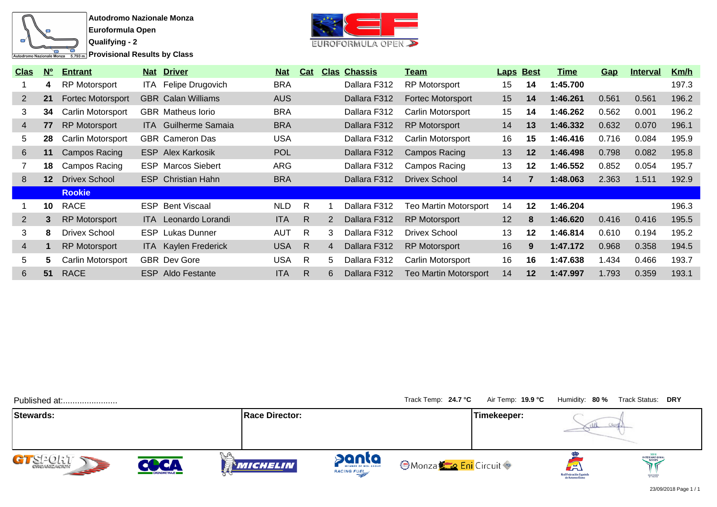

**Autodromo Nazionale Monza Euroformula Open**

**Qualifying - 2 Provisional Results by Class** 



| <b>Clas</b>    | N <sup>o</sup>  | <b>Entrant</b>       |      | Nat Driver                  | <u>Nat</u> | <b>Cat</b>   |                | <b>Clas Chassis</b> | Team                         | <b>Laps Best</b> |         | Time     | <u>Gap</u> | <b>Interval</b> | Km/h  |
|----------------|-----------------|----------------------|------|-----------------------------|------------|--------------|----------------|---------------------|------------------------------|------------------|---------|----------|------------|-----------------|-------|
|                | 4               | RP Motorsport        |      | ITA Felipe Drugovich        | <b>BRA</b> |              |                | Dallara F312        | <b>RP Motorsport</b>         | 15               | 14      | 1:45.700 |            |                 | 197.3 |
| $\overline{2}$ | 21              | Fortec Motorsport    |      | <b>GBR</b> Calan Williams   | <b>AUS</b> |              |                | Dallara F312        | <b>Fortec Motorsport</b>     | 15               | 14      | 1:46.261 | 0.561      | 0.561           | 196.2 |
| 3              | 34              | Carlin Motorsport    |      | <b>GBR</b> Matheus lorio    | <b>BRA</b> |              |                | Dallara F312        | Carlin Motorsport            | 15               | 14      | 1:46.262 | 0.562      | 0.001           | 196.2 |
| 4              | 77              | RP Motorsport        |      | <b>ITA</b> Guilherme Samaia | <b>BRA</b> |              |                | Dallara F312        | <b>RP Motorsport</b>         | 14               | 13      | 1:46.332 | 0.632      | 0.070           | 196.1 |
| 5              | 28              | Carlin Motorsport    |      | <b>GBR</b> Cameron Das      | <b>USA</b> |              |                | Dallara F312        | Carlin Motorsport            | 16               | 15      | 1:46.416 | 0.716      | 0.084           | 195.9 |
| 6              | 11              | Campos Racing        |      | <b>ESP</b> Alex Karkosik    | <b>POL</b> |              |                | Dallara F312        | Campos Racing                | 13               | 12      | 1:46.498 | 0.798      | 0.082           | 195.8 |
|                | 18              | Campos Racing        |      | <b>ESP</b> Marcos Siebert   | ARG        |              |                | Dallara F312        | Campos Racing                | 13               | 12      | 1:46.552 | 0.852      | 0.054           | 195.7 |
| 8              | 12 <sup>2</sup> | <b>Drivex School</b> |      | <b>ESP</b> Christian Hahn   | <b>BRA</b> |              |                | Dallara F312        | Drivex School                | 14               |         | 1:48.063 | 2.363      | 1.511           | 192.9 |
|                |                 | <b>Rookie</b>        |      |                             |            |              |                |                     |                              |                  |         |          |            |                 |       |
|                | 10              | <b>RACE</b>          |      | <b>ESP</b> Bent Viscaal     | <b>NLD</b> | R.           |                | Dallara F312        | <b>Teo Martin Motorsport</b> | 14               | 12      | 1:46.204 |            |                 | 196.3 |
| $\overline{2}$ | 3               | RP Motorsport        |      | ITA Leonardo Lorandi        | <b>ITA</b> | R.           | 2              | Dallara F312        | <b>RP Motorsport</b>         | 12               | 8       | 1:46.620 | 0.416      | 0.416           | 195.5 |
| 3              | 8               | <b>Drivex School</b> | ESP. | Lukas Dunner                | <b>AUT</b> | R            | 3              | Dallara F312        | <b>Drivex School</b>         | 13               | $12 \,$ | 1:46.814 | 0.610      | 0.194           | 195.2 |
| $\overline{4}$ |                 | RP Motorsport        |      | <b>ITA</b> Kaylen Frederick | <b>USA</b> | $\mathsf{R}$ | $\overline{4}$ | Dallara F312        | <b>RP Motorsport</b>         | 16               | 9       | 1:47.172 | 0.968      | 0.358           | 194.5 |
| 5              | 5.              | Carlin Motorsport    |      | <b>GBR</b> Dev Gore         | <b>USA</b> | R.           | 5.             | Dallara F312        | Carlin Motorsport            | 16               | 16      | 1:47.638 | 1.434      | 0.466           | 193.7 |
| 6              | 51              | <b>RACE</b>          |      | <b>ESP</b> Aldo Festante    | <b>ITA</b> | R.           | 6              | Dallara F312        | <b>Teo Martin Motorsport</b> | 14               | 12      | 1:47.997 | 1.793      | 0.359           | 193.1 |

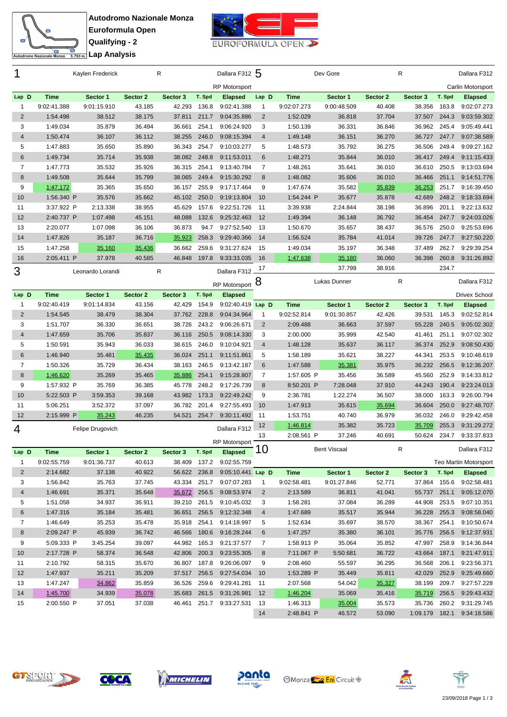



|                           |                        | Kaylen Frederick |                  | R                |        | Dallara F312 5                         |                |                        | Dev Gore            |                  | R                |                | Dallara F312               |
|---------------------------|------------------------|------------------|------------------|------------------|--------|----------------------------------------|----------------|------------------------|---------------------|------------------|------------------|----------------|----------------------------|
|                           |                        |                  |                  |                  |        | <b>RP Motorsport</b>                   |                |                        |                     |                  |                  |                | Carlin Motorsport          |
| Lap D                     | <b>Time</b>            | Sector 1         | Sector 2         | Sector 3         | T. Spd | <b>Elapsed</b>                         | Lap D          | <b>Time</b>            | Sector 1            | Sector 2         | Sector 3         | T. Spd         | <b>Elapsed</b>             |
| $\mathbf{1}$              | 9:02:41.388            | 9:01:15.910      | 43.185           | 42.293           | 136.8  | 9:02:41.388                            | 1              | 9:02:07.273            | 9:00:48.509         | 40.408           | 38.356           | 163.8          | 9:02:07.273                |
| $\overline{2}$            | 1:54.498               | 38.512           | 38.175           | 37.811           | 211.7  | 9:04:35.886                            | $\overline{2}$ | 1:52.029               | 36.818              | 37.704           | 37.507           | 244.3          | 9:03:59.302                |
| 3                         | 1:49.034               | 35.879           | 36.494           | 36.661           | 254.1  | 9:06:24.920                            | 3              | 1:50.139               | 36.331              | 36.846           | 36.962           | 245.4          | 9:05:49.441                |
| 4                         | 1:50.474               | 36.107           | 36.112           | 38.255           | 246.0  | 9:08:15.394                            | 4              | 1:49.148               | 36.151              | 36.270           | 36.727           | 247.7          | 9:07:38.589                |
| 5                         | 1:47.883               | 35.650           | 35.890           | 36.343           | 254.7  | 9:10:03.277                            | 5              | 1:48.573               | 35.792              | 36.275           | 36.506           | 249.4          | 9:09:27.162                |
| 6                         | 1:49.734               | 35.714           | 35.938           | 38.082           | 248.8  | 9:11:53.011                            | 6              | 1:48.271               | 35.844              | 36.010           | 36.417           | 249.4          | 9:11:15.433                |
| $\overline{7}$            | 1:47.773               | 35.532           | 35.926           | 36.315           | 254.1  | 9:13:40.784                            | $\overline{7}$ | 1:48.261               | 35.641              | 36.010           | 36.610           | 250.5          | 9:13:03.694                |
| 8                         | 1:49.508               | 35.644           | 35.799           | 38.065           | 249.4  | 9:15:30.292                            | 8              | 1:48.082               | 35.606              | 36.010           | 36.466           | 251.1          | 9:14:51.776                |
| 9                         | 1:47.172               | 35.365           | 35.650           | 36.157           | 255.9  | 9:17:17.464                            | 9              | 1:47.674               | 35.582              | 35.839           | 36.253           | 251.7          | 9:16:39.450                |
| 10                        | 1:56.340 P             | 35.576           | 35.662           | 45.102           | 250.0  | 9:19:13.804                            | 10             | 1:54.244 P             | 35.677              | 35.878           | 42.689           | 248.2          | 9:18:33.694                |
| 11                        | 3:37.922 P             | 2:13.338         | 38.955           | 45.629           | 157.6  | 9:22:51.726                            | 11             | 3:39.938               | 2:24.844            | 38.198           | 36.896           | 201.1          | 9:22:13.632                |
| 12                        | 2:40.737 P             | 1:07.498         | 45.151           | 48.088           | 132.6  | 9:25:32.463                            | 12             | 1:49.394               | 36.148              | 36.792           | 36.454           | 247.7          | 9:24:03.026                |
| 13                        | 2:20.077               | 1:07.098         | 36.106           | 36.873           | 94.7   | 9:27:52.540                            | 13             | 1:50.670               | 35.657              | 38.437           | 36.576           | 250.0          | 9:25:53.696                |
| 14                        | 1:47.826               | 35.187           | 36.716           | 35.923           | 258.3  | 9:29:40.366                            | 14             | 1:56.524               | 35.784              | 41.014           | 39.726           | 247.7          | 9:27:50.220                |
| 15                        | 1:47.258               | 35.160           | 35.436           | 36.662           | 259.6  | 9:31:27.624                            | 15             | 1:49.034               | 35.197              | 36.348           | 37.489           | 262.7          | 9:29:39.254                |
| 16                        | 2:05.411 P             | 37.978           | 40.585           | 46.848           | 197.8  | 9:33:33.035                            | 16             | 1:47.638               | 35.180              | 36.060           | 36.398           | 260.8          | 9:31:26.892                |
| 3                         |                        | Leonardo Lorandi |                  | R                |        | Dallara F312                           | 17             |                        | 37.799              | 38.916           |                  | 234.7          |                            |
|                           |                        |                  |                  |                  |        | RP Motorsport 8                        |                |                        | Lukas Dunner        |                  | R                |                | Dallara F312               |
| Lap D                     | <b>Time</b>            | Sector 1         | Sector 2         | Sector 3         | T. Spd | <b>Elapsed</b>                         |                |                        |                     |                  |                  |                | <b>Drivex School</b>       |
| $\mathbf{1}$              | 9:02:40.419            | 9:01:14.834      | 43.156           | 42.429           | 154.9  | 9:02:40.419 Lap D                      |                | <b>Time</b>            | Sector 1            | Sector 2         | Sector 3         | T. Spd         | <b>Elapsed</b>             |
| $\mathbf 2$               | 1:54.545               | 38.479           | 38.304           | 37.762           | 228.8  | 9:04:34.964                            | 1              | 9:02:52.814            | 9:01:30.857         | 42.426           | 39.531           | 145.3          | 9:02:52.814                |
| 3                         | 1:51.707               | 36.330           | 36.651           | 38.726           | 243.2  | 9:06:26.671                            | $\overline{2}$ | 2:09.488               | 36.663              | 37.597           | 55.228           | 240.5          | 9:05:02.302                |
| $\overline{4}$            | 1:47.659               | 35.706           | 35.837           | 36.116           | 250.5  | 9:08:14.330                            | 3              | 2:00.000               | 35.999              | 42.540           | 41.461           | 251.1          | 9:07:02.302                |
| 5                         | 1:50.591               | 35.943           | 36.033           | 38.615           | 246.0  | 9:10:04.921                            | $\overline{4}$ | 1:48.128               | 35.637              | 36.117           | 36.374           | 252.9          | 9:08:50.430                |
| $\,6$                     | 1:46.940               | 35.481           | 35.435           | 36.024           | 251.1  | 9:11:51.861                            | 5              | 1:58.189               | 35.621              | 38.227           | 44.341           | 253.5          | 9:10:48.619                |
| 7                         | 1:50.326               | 35.729           | 36.434           | 38.163           | 246.5  | 9:13:42.187                            | 6              | 1:47.588               | 35.381              | 35.975           | 36.232           | 256.5          | 9:12:36.207                |
| $\,8\,$                   | 1:46.620               | 35.269           | 35.465           | 35.886           | 254.1  | 9:15:28.807                            | 7              | 1:57.605 P             | 35.456              | 36.589           | 45.560           | 252.9          | 9:14:33.812                |
| 9                         | 1:57.932 P             | 35.769           | 36.385           | 45.778           | 248.2  | 9:17:26.739                            | 8              | 8:50.201 P             | 7:28.048            | 37.910           | 44.243           | 190.4          | 9:23:24.013                |
| 10                        | 5:22.503 P             | 3:59.353         | 39.168           | 43.982           | 173.3  | 9:22:49.242                            | 9              | 2:36.781               | 1:22.274            | 36.507           | 38.000           | 163.3          | 9:26:00.794                |
| 11                        | 5:06.251               | 3:52.372         | 37.097           | 36.782           | 201.4  | 9:27:55.493                            | 10             | 1:47.913               | 35.615              | 35.694           | 36.604           | 250.0          | 9:27:48.707                |
| 12                        | 2:15.999 P             | 35.243           | 46.235           | 54.521           | 254.7  | 9:30:11.492                            | 11             | 1:53.751               | 40.740              | 36.979           | 36.032           | 246.0          | 9:29:42.458                |
|                           |                        |                  |                  |                  |        |                                        | 12             | 1:46.814               | 35.382              | 35.723           | 35.709           | 255.3          | 9:31:29.272                |
| 4                         |                        | Felipe Drugovich |                  |                  |        | Dallara F312                           | 13             | 2:08.561 P             | 37.246              | 40.691           | 50.624           | 234.7          | 9:33:37.833                |
|                           |                        |                  |                  |                  |        | <b>RP Motorsport</b>                   | 10             |                        | <b>Bent Viscaal</b> |                  | R                |                | Dallara F312               |
| Lap D                     | Time                   | Sector 1         | Sector 2         | Sector 3         | T. Spd | <b>Elapsed</b>                         |                |                        |                     |                  |                  |                |                            |
| $\mathbf{1}$              | 9:02:55.759            | 9:01:36.737      | 40.613           | 38.409           | 137.2  | 9:02:55.759                            |                |                        |                     |                  |                  |                | Teo Martin Motorsport      |
| $\overline{2}$            | 2:14.682               | 37.138           | 40.922           |                  |        | 56.622 236.8 9:05:10.441 Lap D         |                | <b>Time</b>            | Sector 1            | Sector 2         | Sector 3         | T. Spd         | <b>Elapsed</b>             |
| 3                         | 1:56.842               | 35.763           | 37.745           |                  |        | 43.334 251.7 9:07:07.283               | 1              | 9:02:58.481            | 9:01:27.846         | 52.771           |                  |                | 37.864 155.6 9:02:58.481   |
| $\overline{4}$            | 1:46.691               | 35.371           | 35.648           |                  |        | 35.672 256.5 9:08:53.974               | $\overline{2}$ | 2:13.589               | 36.811              | 41.041           |                  |                | 55.737 251.1 9:05:12.070   |
| 5                         | 1:51.058               | 34.937           | 36.911           | 39.210           |        | 261.5 9:10:45.032                      | 3              | 1:58.281               | 37.084              | 36.289           |                  |                | 44.908 253.5 9:07:10.351   |
| 6                         | 1:47.316               | 35.184           | 35.481           | 36.651           |        | 256.5 9:12:32.348                      | $\overline{4}$ | 1:47.689               | 35.517              | 35.944           | 36.228           |                | 255.3 9:08:58.040          |
| $\overline{7}$<br>$\,8\,$ | 1:46.649<br>2:09.247 P | 35.253<br>45.939 | 35.478<br>36.742 | 35.918           |        | 254.1 9:14:18.997<br>180.6 9:16:28.244 | 5<br>6         | 1:52.634               | 35.697              | 38.570           | 38.367           | 254.1<br>256.5 | 9:10:50.674                |
|                           |                        |                  |                  | 46.566           |        |                                        |                | 1:47.257               | 35.380              | 36.101           | 35.776           |                | 9:12:37.931                |
| 9                         | 5:09.333 P             | 3:45.254         | 39.097           | 44.982           |        | 165.3 9:21:37.577                      | $\overline{7}$ | 1:58.913 P             | 35.064              | 35.852           | 47.997           | 258.9          | 9:14:36.844                |
| 10                        | 2:17.728 P             | 58.374           | 36.548           | 42.806           | 200.3  | 9:23:55.305                            | 8              | 7:11.067 P             | 5:50.681            | 36.722           | 43.664           | 187.1          | 9:21:47.911                |
| 11<br>12                  | 2:10.792               | 58.315<br>35.211 | 35.670           | 36.807           | 187.8  | 9:26:06.097<br>256.5 9:27:54.034       | 9<br>10        | 2:08.460<br>1:53.289 P | 55.597              | 36.295<br>35.811 | 36.568<br>42.029 | 206.1<br>252.9 | 9:23:56.371<br>9:25:49.660 |
| 13                        | 1:47.937<br>1:47.247   | 34.862           | 35.209<br>35.859 | 37.517<br>36.526 | 259.6  | 9:29:41.281                            | 11             | 2:07.568               | 35.449<br>54.042    | 35.327           | 38.199           | 209.7          | 9:27:57.228                |
| 14                        | 1:45.700               | 34.939           | 35.078           | 35.683           |        | 261.5 9:31:26.981                      | 12             | 1:46.204               | 35.069              | 35.416           | 35.719           | 256.5          | 9:29:43.432                |
| 15                        | 2:00.550 P             | 37.051           | 37.038           | 46.461           | 251.7  | 9:33:27.531                            | 13             | 1:46.313               | 35.004              | 35.573           | 35.736           | 260.2          | 9:31:29.745                |
|                           |                        |                  |                  |                  |        |                                        | 14             | 2:48.841 P             | 46.572              | 53.090           | 1:09.179 182.1   |                | 9:34:18.586                |











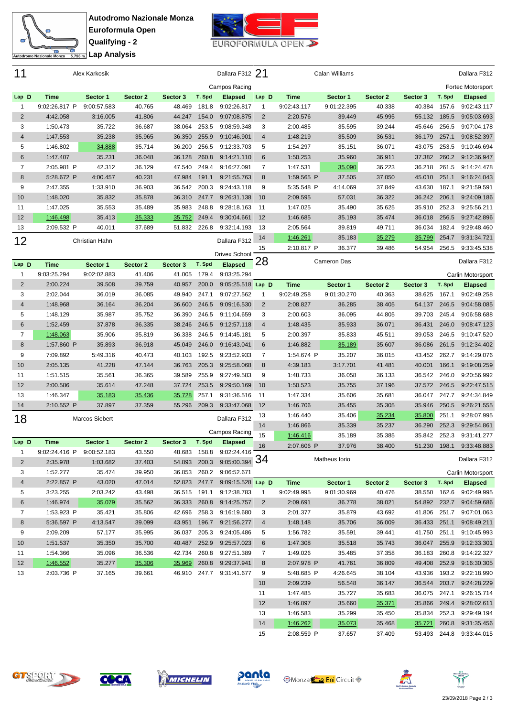



| 11             |                           | Alex Karkosik    |                  |                  |        | Dallara F312 21                                |                |                        | Calan Williams     |                  |                  |                       | Dallara F312               |
|----------------|---------------------------|------------------|------------------|------------------|--------|------------------------------------------------|----------------|------------------------|--------------------|------------------|------------------|-----------------------|----------------------------|
|                |                           |                  |                  |                  |        | Campos Racing                                  |                |                        |                    |                  |                  |                       | Fortec Motorsport          |
| Lap D          | <b>Time</b>               | Sector 1         | Sector 2         | Sector 3         | T. Spd | <b>Elapsed</b>                                 | Lap D          | <b>Time</b>            | Sector 1           | Sector 2         | Sector 3         | T. Spd                | <b>Elapsed</b>             |
| 1              | 9:02:26.817 P             | 9:00:57.583      | 40.765           | 48.469           | 181.8  | 9:02:26.817                                    | 1              | 9:02:43.117            | 9:01:22.395        | 40.338           | 40.384           | 157.6                 | 9:02:43.117                |
| $\overline{2}$ | 4:42.058                  | 3:16.005         | 41.806           | 44.247           | 154.0  | 9:07:08.875                                    | $\overline{2}$ | 2:20.576               | 39.449             | 45.995           | 55.132           | 185.5                 | 9:05:03.693                |
| 3              | 1:50.473                  | 35.722           | 36.687           | 38.064           | 253.5  | 9:08:59.348                                    | 3              | 2:00.485               | 35.595             | 39.244           | 45.646           | 256.5                 | 9:07:04.178                |
| $\overline{4}$ | 1:47.553                  | 35.238           | 35.965           | 36.350           | 255.9  | 9:10:46.901                                    | $\overline{4}$ | 1:48.219               | 35.509             | 36.531           | 36.179           | 257.1                 | 9:08:52.397                |
| 5              | 1:46.802                  | 34.888           | 35.714           | 36.200           | 256.5  | 9:12:33.703                                    | 5              | 1:54.297               | 35.151             | 36.071           | 43.075           | 253.5                 | 9:10:46.694                |
| 6              | 1:47.407                  | 35.231           | 36.048           | 36.128           | 260.8  | 9:14:21.110                                    | 6              | 1:50.253               | 35.960             | 36.911           | 37.382           | 260.2                 | 9:12:36.947                |
| $\overline{7}$ | 2:05.981 P                | 42.312           | 36.129           | 47.540           | 249.4  | 9:16:27.091                                    | $\overline{7}$ | 1:47.531               | 35.090             | 36.223           | 36.218           | 261.5                 | 9:14:24.478                |
| 8              | 5:28.672 P                | 4:00.457         | 40.231           | 47.984           | 191.1  | 9:21:55.763                                    | 8              | 1:59.565 P             | 37.505             | 37.050           | 45.010           | 251.1                 | 9:16:24.043                |
| 9              | 2:47.355                  | 1:33.910         | 36.903           | 36.542           | 200.3  | 9:24:43.118                                    | 9              | 5:35.548 P             | 4:14.069           | 37.849           | 43.630           | 187.1                 | 9:21:59.591                |
| 10             | 1:48.020                  | 35.832           | 35.878           | 36.310           | 247.7  | 9:26:31.138                                    | 10             | 2:09.595               | 57.031             | 36.322           | 36.242           | 206.1                 | 9:24:09.186                |
| 11             | 1:47.025                  | 35.553           | 35.489           | 35.983           | 248.8  | 9:28:18.163                                    | 11             | 1:47.025               | 35.490             | 35.625           | 35.910           | 252.3                 | 9:25:56.211                |
| 12             | 1:46.498                  | 35.413           | 35.333           | 35.752           | 249.4  | 9:30:04.661                                    | 12             | 1:46.685               | 35.193             | 35.474           | 36.018           | 256.5                 | 9:27:42.896                |
| 13             | 2:09.532 P                | 40.011           | 37.689           | 51.832           | 226.8  | 9:32:14.193                                    | 13             | 2:05.564               | 39.819             | 49.711           | 36.034           | 182.4                 | 9:29:48.460                |
| 12             |                           | Christian Hahn   |                  |                  |        | Dallara F312                                   | 14             | 1:46.261               | 35.183             | 35.279           | 35.799           | 254.7                 | 9:31:34.721                |
|                |                           |                  |                  |                  |        | <b>Drivex School</b>                           | 15             | 2:10.817 P             | 36.377             | 39.486           | 54.954           | 256.5                 | 9:33:45.538                |
| Lap D          | <b>Time</b>               | Sector 1         | Sector 2         | Sector 3         | T. Spd | <b>Elapsed</b>                                 | 28             |                        | <b>Cameron Das</b> |                  |                  |                       | Dallara F312               |
| 1              | 9:03:25.294               | 9:02:02.883      | 41.406           | 41.005           | 179.4  | 9:03:25.294                                    |                |                        |                    |                  |                  |                       | Carlin Motorsport          |
| $\overline{2}$ | 2:00.224                  | 39.508           | 39.759           | 40.957           | 200.0  | 9:05:25.518 Lap D                              |                | <b>Time</b>            | Sector 1           | Sector 2         | Sector 3         | T. Spd                | <b>Elapsed</b>             |
| 3              | 2:02.044                  | 36.019           | 36.085           | 49.940           | 247.1  | 9:07:27.562                                    | $\mathbf{1}$   | 9:02:49.258            | 9:01:30.270        | 40.363           | 38.625           | 167.1                 | 9:02:49.258                |
| $\overline{4}$ | 1:48.968                  | 36.164           | 36.204           | 36.600           | 246.5  | 9:09:16.530                                    | $\overline{2}$ | 2:08.827               | 36.285             | 38.405           | 54.137           | 246.5                 | 9:04:58.085                |
| 5              | 1:48.129                  | 35.987           | 35.752           | 36.390           | 246.5  | 9:11:04.659                                    | 3              | 2:00.603               | 36.095             | 44.805           | 39.703           | 245.4                 | 9:06:58.688                |
| 6              | 1:52.459                  | 37.878           | 36.335           | 38.246           | 246.5  | 9:12:57.118                                    | $\overline{4}$ | 1:48.435               | 35.933             | 36.071           | 36.431           | 246.0                 | 9:08:47.123                |
| $\overline{7}$ | 1:48.063                  | 35.906           | 35.819           | 36.338           | 246.5  | 9:14:45.181                                    | 5              | 2:00.397               | 35.833             | 45.511           | 39.053           | 246.5                 | 9:10:47.520                |
| 8              | 1:57.860 P                | 35.893           | 36.918           | 45.049           | 246.0  | 9:16:43.041                                    | 6              | 1:46.882               | 35.189             | 35.607           | 36.086           | 261.5                 | 9:12:34.402                |
| 9              | 7:09.892                  | 5:49.316         | 40.473           | 40.103           | 192.5  | 9:23:52.933                                    | $\overline{7}$ | 1:54.674 P             | 35.207             | 36.015           | 43.452           | 262.7                 | 9:14:29.076                |
| 10             | 2:05.135                  | 41.228           | 47.144           | 36.763           | 205.3  | 9:25:58.068                                    | 8              | 4:39.183               | 3:17.701           | 41.481           | 40.001           | 166.1                 | 9:19:08.259                |
| 11             | 1:51.515                  | 35.561           | 36.365           | 39.589           | 255.9  | 9:27:49.583                                    | 9              | 1:48.733               | 36.058             | 36.133           | 36.542           | 246.0                 | 9:20:56.992                |
| 12             | 2:00.586                  | 35.614           | 47.248           | 37.724           | 253.5  | 9:29:50.169                                    | 10             | 1:50.523               | 35.755             | 37.196           | 37.572           | 246.5                 | 9:22:47.515                |
| 13             | 1:46.347                  | 35.183           | 35.436           | 35.728           | 257.1  | 9:31:36.516                                    | 11             | 1:47.334               | 35.606             | 35.681           | 36.047           | 247.7                 | 9:24:34.849                |
| 14             | 2:10.552 P                | 37.897           | 37.359           | 55.296           | 209.3  | 9:33:47.068                                    | 12             | 1:46.706               | 35.455             | 35.305           | 35.946           | 250.5                 | 9:26:21.555                |
| 18             |                           | Marcos Siebert   |                  |                  |        | Dallara F312                                   | 13             | 1:46.440               | 35.406             | 35.234           | 35.800           | 251.1                 | 9:28:07.995                |
|                |                           |                  |                  |                  |        |                                                | 14             | 1:46.866               | 35.339             | 35.237           | 36.290           | 252.3                 | 9:29:54.861                |
|                |                           |                  |                  |                  |        | Campos Racing                                  | 15             | 1:46.416               | 35.189             | 35.385           | 35.842           | 252.3                 | 9:31:41.277                |
| Lap D          | <b>Time</b>               | Sector 1         | Sector 2         | Sector 3         | T. Spd | <b>Elapsed</b>                                 | 16             | 2:07.606 P             | 37.976             | 38.400           | 51.230           | 198.1                 | 9:33:48.883                |
| $\mathbf{1}$   | 9:02:24.416 P 9:00:52.183 |                  | 43.550           |                  |        | 48.683  158.8  9:02:24.416<br>$9:05:00.394$ 34 |                |                        | Matheus Iorio      |                  |                  |                       | Dallara F312               |
| $\overline{2}$ | 2:35.978                  | 1:03.682         | 37.403           | 54.893           | 200.3  |                                                |                |                        |                    |                  |                  |                       |                            |
| 3              | 1:52.277                  | 35.474           | 39.950           | 36.853           |        | 260.2 9:06:52.671                              |                |                        |                    |                  |                  |                       | Carlin Motorsport          |
| 4              | 2:22.857 P<br>3:23.255    | 43.020           | 47.014           | 52.823           | 247.7  | 9:09:15.528 Lap D                              |                | Time<br>9:02:49.995    | Sector 1           | Sector 2         | Sector 3         | T. Spd                | <b>Elapsed</b>             |
| 5              |                           | 2:03.242         | 43.498           | 36.515           | 191.1  | 9:12:38.783                                    | 1              |                        | 9:01:30.969        | 40.476           | 38.550           | 162.6<br>54.892 232.7 | 9:02:49.995<br>9:04:59.686 |
| 6              | 1:46.974<br>1:53.923 P    | 35.079           | 35.562           | 36.333           |        | 260.8 9:14:25.757                              | $\overline{2}$ | 2:09.691               | 36.778             | 38.021           |                  |                       |                            |
| 7              |                           | 35.421           | 35.806           | 42.696           |        | 258.3 9:16:19.680                              | 3              | 2:01.377               | 35.879             | 43.692           | 41.806           | 251.7                 | 9:07:01.063                |
| 8              | 5:36.597 P                | 4:13.547         | 39.099           | 43.951           |        | 196.7 9:21:56.277                              | $\overline{4}$ | 1:48.148               | 35.706             | 36.009           | 36.433 251.1     |                       | 9:08:49.211                |
| 9              | 2:09.209                  | 57.177           | 35.995           | 36.037           |        | 205.3 9:24:05.486                              | 5              | 1:56.782               | 35.591             | 39.441           | 41.750 251.1     |                       | 9:10:45.993                |
| 10             | 1:51.537                  | 35.350           | 35.700           | 40.487           |        | 252.9 9:25:57.023                              | 6              | 1:47.308               | 35.518             | 35.743           |                  | 36.047 255.9          | 9:12:33.301                |
| 11<br>12       | 1:54.366<br>1:46.552      | 35.096<br>35.277 | 36.536<br>35.306 | 42.734<br>35.969 |        | 260.8 9:27:51.389<br>260.8 9:29:37.941         | 7<br>8         | 1:49.026<br>2:07.978 P | 35.485<br>41.761   | 37.358<br>36.809 | 36.183<br>49.408 | 260.8<br>252.9        | 9:14:22.327<br>9:16:30.305 |
| 13             | 2:03.736 P                | 37.165           | 39.661           | 46.910           |        | 247.7 9:31:41.677                              | 9              | 5:48.685 P             | 4:26.645           | 38.104           | 43.936           |                       | 193.2 9:22:18.990          |
|                |                           |                  |                  |                  |        |                                                | 10             | 2:09.239               | 56.548             | 36.147           | 36.544           | 203.7                 | 9:24:28.229                |
|                |                           |                  |                  |                  |        |                                                | 11             | 1:47.485               | 35.727             | 35.683           | 36.075           | 247.1                 | 9:26:15.714                |
|                |                           |                  |                  |                  |        |                                                | 12             | 1:46.897               | 35.660             | 35.371           | 35.866 249.4     |                       | 9:28:02.611                |
|                |                           |                  |                  |                  |        |                                                | 13             | 1:46.583               | 35.299             | 35.450           | 35.834           | 252.3                 | 9:29:49.194                |
|                |                           |                  |                  |                  |        |                                                | 14             | 1:46.262               | 35.073             | 35.468           | 35.721 260.8     |                       | 9:31:35.456                |
|                |                           |                  |                  |                  |        |                                                | 15             | 2:08.559 P             | 37.657             | 37.409           |                  |                       | 53.493 244.8 9:33:44.015   |











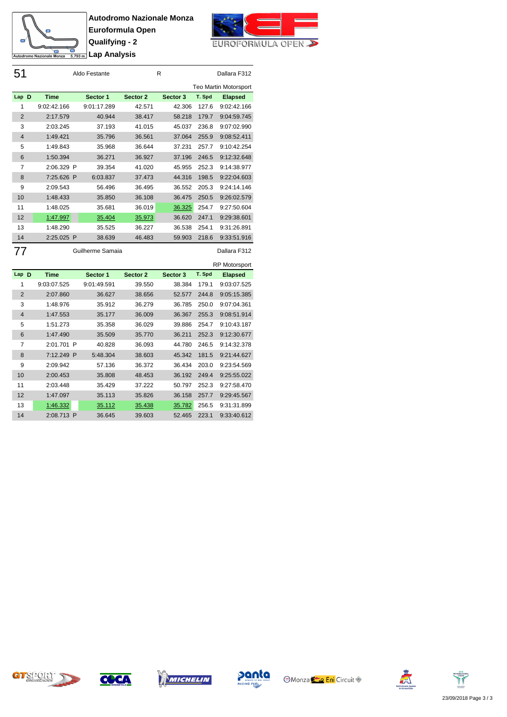



| 51             |             | Aldo Festante |          | R        |        | Dallara F312                 |
|----------------|-------------|---------------|----------|----------|--------|------------------------------|
|                |             |               |          |          |        | <b>Teo Martin Motorsport</b> |
| Lap D          | <b>Time</b> | Sector 1      | Sector 2 | Sector 3 | T. Spd | <b>Elapsed</b>               |
| 1              | 9:02:42.166 | 9:01:17.289   | 42.571   | 42.306   | 127.6  | 9:02:42.166                  |
| 2              | 2:17.579    | 40.944        | 38.417   | 58.218   | 179.7  | 9:04:59.745                  |
| 3              | 2:03.245    | 37.193        | 41.015   | 45.037   | 236.8  | 9:07:02.990                  |
| $\overline{4}$ | 1:49.421    | 35.796        | 36.561   | 37.064   | 255.9  | 9:08:52.411                  |
| 5              | 1:49.843    | 35.968        | 36.644   | 37.231   | 257.7  | 9:10:42.254                  |
| 6              | 1:50.394    | 36.271        | 36.927   | 37.196   | 246.5  | 9:12:32.648                  |
| 7              | 2:06.329 P  | 39.354        | 41.020   | 45.955   | 252.3  | 9:14:38.977                  |
| 8              | 7:25.626 P  | 6:03.837      | 37.473   | 44.316   | 198.5  | 9:22:04.603                  |
| 9              | 2:09.543    | 56.496        | 36.495   | 36.552   | 205.3  | 9:24:14.146                  |
| 10             | 1:48.433    | 35.850        | 36.108   | 36.475   | 250.5  | 9:26:02.579                  |
| 11             | 1:48.025    | 35.681        | 36.019   | 36.325   | 254.7  | 9:27:50.604                  |
| 12             | 1:47.997    | 35.404        | 35.973   | 36.620   | 247.1  | 9:29:38.601                  |
| 13             | 1:48.290    | 35.525        | 36.227   | 36.538   | 254.1  | 9:31:26.891                  |
| 14             | 2:25.025 P  | 38.639        | 46.483   | 59.903   | 218.6  | 9:33:51.916                  |
|                |             |               |          |          |        |                              |

Guilherme Samaia **Dallara F312** 

|                |             |   |             |          |          |        | <b>RP Motorsport</b> |
|----------------|-------------|---|-------------|----------|----------|--------|----------------------|
| Lap D          | <b>Time</b> |   | Sector 1    | Sector 2 | Sector 3 | T. Spd | <b>Elapsed</b>       |
| 1              | 9:03:07.525 |   | 9:01:49.591 | 39.550   | 38.384   | 179.1  | 9:03:07.525          |
| $\overline{2}$ | 2:07.860    |   | 36.627      | 38.656   | 52.577   | 244.8  | 9:05:15.385          |
| 3              | 1:48.976    |   | 35.912      | 36.279   | 36.785   | 250.0  | 9:07:04.361          |
| $\overline{4}$ | 1:47.553    |   | 35.177      | 36.009   | 36.367   | 255.3  | 9:08:51.914          |
| 5              | 1:51.273    |   | 35.358      | 36.029   | 39.886   | 254.7  | 9:10:43.187          |
| 6              | 1:47.490    |   | 35.509      | 35.770   | 36.211   | 252.3  | 9:12:30.677          |
| $\overline{7}$ | 2:01.701    | P | 40.828      | 36.093   | 44.780   | 246.5  | 9:14:32.378          |
| 8              | 7:12.249    | P | 5:48.304    | 38.603   | 45.342   | 181.5  | 9:21:44.627          |
| 9              | 2:09.942    |   | 57.136      | 36.372   | 36.434   | 203.0  | 9:23:54.569          |
| 10             | 2:00.453    |   | 35.808      | 48.453   | 36.192   | 249.4  | 9:25:55.022          |
| 11             | 2:03.448    |   | 35.429      | 37.222   | 50.797   | 252.3  | 9:27:58.470          |
| 12             | 1:47.097    |   | 35.113      | 35.826   | 36.158   | 257.7  | 9:29:45.567          |
| 13             | 1:46.332    |   | 35.112      | 35.438   | 35.782   | 256.5  | 9:31:31.899          |
| 14             | 2:08.713    | P | 36.645      | 39.603   | 52.465   | 223.1  | 9:33:40.612          |











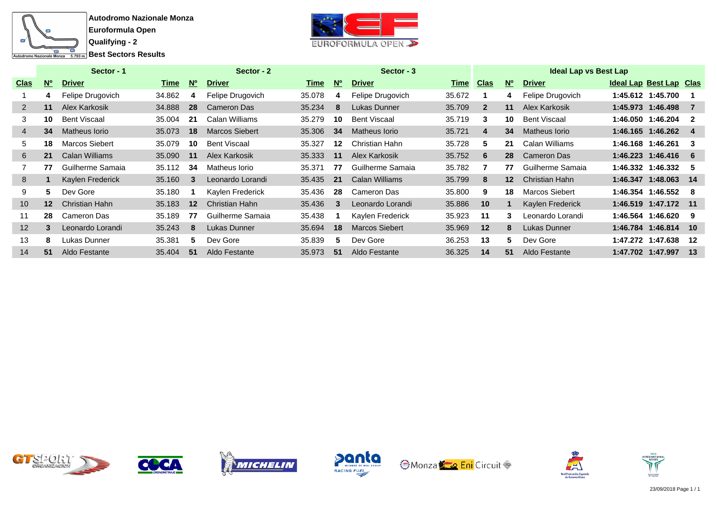



|                   |           | Sector - 1          |        |           | Sector - 2            |        |           | Sector - 3            |             |              |                  | <b>Ideal Lap vs Best Lap</b> |                         |     |
|-------------------|-----------|---------------------|--------|-----------|-----------------------|--------|-----------|-----------------------|-------------|--------------|------------------|------------------------------|-------------------------|-----|
| <u>Clas</u>       | <b>No</b> | <b>Driver</b>       | Time   | <b>No</b> | <b>Driver</b>         | Time   | <b>No</b> | <b>Driver</b>         | <u>Time</u> | <u>Clas</u>  | <b>No</b>        | <b>Driver</b>                | Ideal Lap Best Lap Clas |     |
|                   | 4         | Felipe Drugovich    | 34.862 | 4         | Felipe Drugovich      | 35.078 | 4         | Felipe Drugovich      | 35.672      |              | 4                | Felipe Drugovich             | 1:45.612 1:45.700       |     |
| 2                 | 11        | Alex Karkosik       | 34.888 | 28        | Cameron Das           | 35.234 | 8         | Lukas Dunner          | 35.709      | $\mathbf{2}$ | 11               | Alex Karkosik                | 1:45.973 1:46.498       |     |
| 3                 | 10        | <b>Bent Viscaal</b> | 35.004 | 21        | Calan Williams        | 35.279 | 10        | <b>Bent Viscaal</b>   | 35.719      | 3            | 10               | Bent Viscaal                 | 1:46.050 1:46.204       | -2  |
| 4                 | 34        | Matheus Iorio       | 35.073 | 18        | <b>Marcos Siebert</b> | 35,306 | 34        | Matheus Iorio         | 35.721      | 4            | 34               | Matheus Iorio                | 1:46.165 1:46.262       | 4   |
| 5.                | 18        | Marcos Siebert      | 35.079 | 10        | Bent Viscaal          | 35.327 | 12        | Christian Hahn        | 35.728      | 5.           | 21               | Calan Williams               | 1:46.168 1:46.261       | -3  |
| 6                 | 21        | Calan Williams      | 35.090 | 11        | Alex Karkosik         | 35.333 | 11        | Alex Karkosik         | 35.752      | 6            | 28               | <b>Cameron Das</b>           | 1:46.223 1:46.416       | - 6 |
|                   | 77        | Guilherme Samaia    | 35.112 | 34        | Matheus Iorio         | 35.371 | 77        | Guilherme Samaia      | 35.782      |              | 77               | Guilherme Samaia             | 1:46.332 1:46.332       | -5  |
| 8                 |           | Kaylen Frederick    | 35.160 | 3         | Leonardo Lorandi      | 35.435 | 21        | <b>Calan Williams</b> | 35.799      | 8            | 12 <sup>12</sup> | Christian Hahn               | 1:46.347 1:48.063       | 14  |
| 9                 | 5         | Dev Gore            | 35.180 |           | Kaylen Frederick      | 35.436 | 28        | Cameron Das           | 35.800      | 9            | 18               | <b>Marcos Siebert</b>        | 1:46.354 1:46.552       | -8  |
| 10                | $12 \,$   | Christian Hahn      | 35.183 | 12        | Christian Hahn        | 35.436 | 3         | Leonardo Lorandi      | 35.886      | 10           |                  | Kaylen Frederick             | 1:46.519 1:47.172 11    |     |
| 11                | 28        | Cameron Das         | 35.189 | 77        | Guilherme Samaia      | 35.438 |           | Kaylen Frederick      | 35.923      | 11           | 3                | Leonardo Lorandi             | 1:46.564 1:46.620       | -9  |
| $12 \overline{ }$ | 3         | Leonardo Lorandi    | 35.243 | 8         | Lukas Dunner          | 35.694 | 18        | <b>Marcos Siebert</b> | 35.969      | 12           | 8                | Lukas Dunner                 | 1:46.784 1:46.814 10    |     |
| 13                | 8         | Lukas Dunner        | 35.381 | 5.        | Dev Gore              | 35.839 | 5.        | Dev Gore              | 36.253      | 13           | 5.               | Dev Gore                     | 1:47.272 1:47.638       | 12  |
| 14                | 51        | Aldo Festante       | 35.404 | 51        | Aldo Festante         | 35.973 | 51        | Aldo Festante         | 36.325      | 14           | 51               | Aldo Festante                | 1:47.702 1:47.997       | -13 |













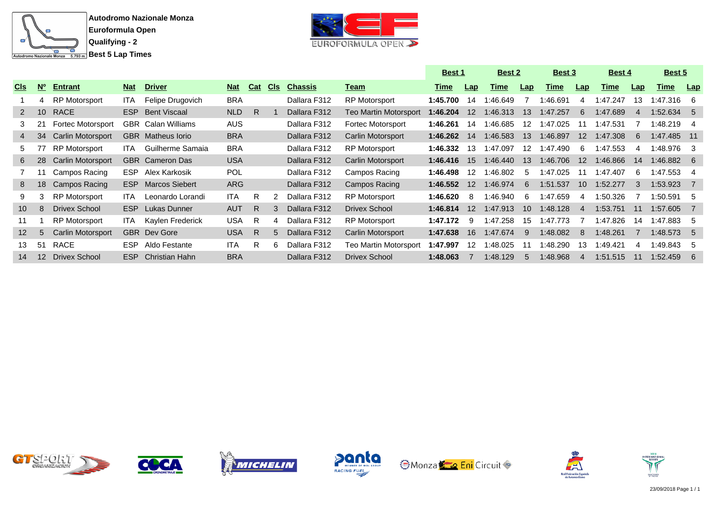



|                 |                           |                          |            |                           |            |            |            |                |                              | Best 1      |                   | <b>Best 2</b> |                 | Best 3      |                 | Best 4      |     | Best 5       |     |
|-----------------|---------------------------|--------------------------|------------|---------------------------|------------|------------|------------|----------------|------------------------------|-------------|-------------------|---------------|-----------------|-------------|-----------------|-------------|-----|--------------|-----|
| <u>CIs</u>      | $\overline{\mathsf{N}_0}$ | <b>Entrant</b>           | <b>Nat</b> | <b>Driver</b>             | <b>Nat</b> | <b>Cat</b> | <u>CIs</u> | <b>Chassis</b> | <u>Team</u>                  | <u>Time</u> | Lap               | <u>Time</u>   | Lap             | <u>Time</u> | Lap             | <u>Time</u> | Lap | <u>Time</u>  | Lap |
|                 | 4                         | <b>RP Motorsport</b>     | ITA.       | Felipe Drugovich          | <b>BRA</b> |            |            | Dallara F312   | <b>RP Motorsport</b>         | 1:45.700    | 14                | :46.649       |                 | :46.691     | 4               | 1:47.247    | 13  | 1:47.316     | - 6 |
| 2               | 10                        | <b>RACE</b>              | ESP        | <b>Bent Viscaal</b>       | NLD        | R.         |            | Dallara F312   | <b>Teo Martin Motorsport</b> | 1:46.204    | $12 \overline{ }$ | 1:46.313      | 13              | 1:47.257    | 6               | 1:47.689    | 4   | $1:52.634$ 5 |     |
|                 | 21                        | <b>Fortec Motorsport</b> |            | <b>GBR</b> Calan Williams | <b>AUS</b> |            |            | Dallara F312   | Fortec Motorsport            | 1:46.261    | 14                | 1:46.685      | 12              | 1:47.025    | 11              | 1:47.531    |     | 1:48.219     | -4  |
| 4               | 34                        | <b>Carlin Motorsport</b> |            | <b>GBR</b> Matheus lorio  | <b>BRA</b> |            |            | Dallara F312   | Carlin Motorsport            | 1:46.262    | 14                | 1:46.583      | 13              | 1:46.897    | 12 <sup>2</sup> | 1:47.308    | 6   | 1:47.485 11  |     |
| 5.              |                           | <b>RP Motorsport</b>     | ITA.       | Guilherme Samaia          | <b>BRA</b> |            |            | Dallara F312   | <b>RP Motorsport</b>         | 1:46.332    | 13                | 1:47.097      | 12              | :47.490     | 6               | 1:47.553    | 4   | 1:48.976     | -3  |
| 6               | 28                        | <b>Carlin Motorsport</b> |            | <b>GBR</b> Cameron Das    | <b>USA</b> |            |            | Dallara F312   | Carlin Motorsport            | 1:46.416    | 15                | 1:46.440      | 13              | 1:46.706    | 12 <sup>2</sup> | 1:46.866    | 14  | $1:46.882$ 6 |     |
|                 |                           | Campos Racing            | ESP.       | Alex Karkosik             | <b>POL</b> |            |            | Dallara F312   | Campos Racing                | 1:46.498    | 12                | 1:46.802      | -5              | 1:47.025    | 11              | 1:47.407    | 6   | 1:47.553     | -4  |
| 8               | 18                        | Campos Racing            | ESP        | <b>Marcos Siebert</b>     | ARG        |            |            | Dallara F312   | Campos Racing                | 1:46.552    | 12                | 1:46.974      | 6               | 1:51.537    | 10 <sup>1</sup> | 1:52.277    | 3   | 1:53.923     |     |
| 9               | 3                         | <b>RP Motorsport</b>     | ITA.       | Leonardo Lorandi          | ITA.       | R          |            | Dallara F312   | <b>RP Motorsport</b>         | 1:46.620    | 8                 | 1:46.940      | 6               | 1:47.659    | 4               | 1:50.326    |     | 1:50.591     | .5  |
| 10 <sup>°</sup> | 8                         | Drivex School            |            | <b>ESP</b> Lukas Dunner   | <b>AUT</b> | R.         | 3          | Dallara F312   | <b>Drivex School</b>         | 1:46.814    | $12 \overline{ }$ | 1:47.913      | 10 <sup>1</sup> | 1:48.128    | -4              | 1:53.751    | 11  | 1:57.605     |     |
| 11              |                           | <b>RP Motorsport</b>     | ITA.       | Kaylen Frederick          | <b>USA</b> | R          | 4          | Dallara F312   | RP Motorsport                | 1:47.172    | 9                 | 1:47.258      | 15              | 1:47.773    |                 | 1:47.826    | 14  | 1:47.883     | -5  |
| 12 <sup>2</sup> | 5                         | <b>Carlin Motorsport</b> |            | <b>GBR</b> Dev Gore       | <b>USA</b> | R.         | 5          | Dallara F312   | Carlin Motorsport            | 1:47.638    | -16               | 1:47.674      | 9               | 1:48.082    | 8               | 1:48.261    |     | 1:48.573     | -5  |
| 13              | 51                        | RACE                     | ESP.       | Aldo Festante             | <b>ITA</b> | R          | 6          | Dallara F312   | Teo Martin Motorsport        | 1:47.997    | 12                | :48.025       | 11              | :48.290     | 13              | :49.421     | 4   | 1:49.843     | -5  |
| 14              | 12                        | <b>Drivex School</b>     | ESP.       | <b>Christian Hahn</b>     | <b>BRA</b> |            |            | Dallara F312   | Drivex School                | 1:48.063    |                   | 1:48.129      | 5               | 1:48.968    | 4               | 1:51.515    |     | 1:52.459     | 6   |













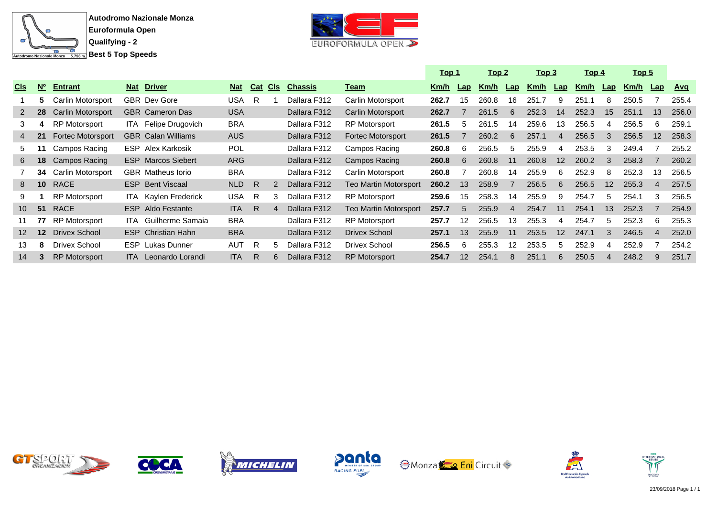



|                 |                 |                          |            |                             |            |     |            |                |                       | <u> Top 1</u> |                 | <u>Top 2</u> |                | <u> Top 3</u> |     | <u> Top 4</u> |                | <u>Top 5</u> |                |            |
|-----------------|-----------------|--------------------------|------------|-----------------------------|------------|-----|------------|----------------|-----------------------|---------------|-----------------|--------------|----------------|---------------|-----|---------------|----------------|--------------|----------------|------------|
| <b>CIS</b>      | $N^{\circ}$     | <b>Entrant</b>           | <b>Nat</b> | <b>Driver</b>               | <b>Nat</b> | Cat | <b>CIs</b> | <b>Chassis</b> | <u>Team</u>           | Km/h          | Lap             | Km/h         | Lap            | Km/h          | Lap | <u>Km/h</u>   | $\mathsf{Lap}$ | Km/h         | $\mathsf{Lap}$ | <u>Avq</u> |
|                 | 5.              | Carlin Motorsport        |            | <b>GBR</b> Dev Gore         | USA        | R.  |            | Dallara F312   | Carlin Motorsport     | 262.7         | 15              | 260.8        | 16             | 251.7         | 9   | 251.1         | 8              | 250.5        |                | 255.4      |
| $\mathbf{2}$    | 28              | <b>Carlin Motorsport</b> |            | <b>GBR</b> Cameron Das      | <b>USA</b> |     |            | Dallara F312   | Carlin Motorsport     | 262.7         |                 | 261.5        | 6              | 252.3         | 14  | 252.3         | 15             | 251.1        | 13             | 256.0      |
| 3               | 4               | <b>RP Motorsport</b>     |            | ITA Felipe Drugovich        | <b>BRA</b> |     |            | Dallara F312   | <b>RP Motorsport</b>  | 261.5         | 5               | 261.5        | 14             | 259.6         | 13  | 256.5         | 4              | 256.5        | 6              | 259.1      |
| 4               | 21              | <b>Fortec Motorsport</b> |            | <b>GBR</b> Calan Williams   | AUS        |     |            | Dallara F312   | Fortec Motorsport     | 261.5         |                 | 260.2        | 6              | 257.1         | 4   | 256.5         | 3              | 256.5        | 12             | 258.3      |
| 5.              | 11              | Campos Racing            |            | <b>ESP</b> Alex Karkosik    | <b>POL</b> |     |            | Dallara F312   | Campos Racing         | 260.8         | 6               | 256.5        | 5              | 255.9         | 4   | 253.5         | 3              | 249.4        |                | 255.2      |
| 6               | 18              | Campos Racing            |            | <b>ESP</b> Marcos Siebert   | <b>ARG</b> |     |            | Dallara F312   | Campos Racing         | 260.8         | 6               | 260.8        | 11             | 260.8         | 12  | 260.2         | 3              | 258.3        |                | 260.2      |
|                 | 34              | <b>Carlin Motorsport</b> |            | <b>GBR</b> Matheus lorio    | <b>BRA</b> |     |            | Dallara F312   | Carlin Motorsport     | 260.8         |                 | 260.8        | 14             | 255.9         | 6   | 252.9         | 8              | 252.3        | 13             | 256.5      |
| 8               | 10 <sup>°</sup> | RACE                     |            | <b>ESP</b> Bent Viscaal     | NLD        | R   |            | Dallara F312   | Teo Martin Motorsport | 260.2         | 13              | 258.9        |                | 256.5         | 6   | 256.5         | 12             | 255.3        | 4              | 257.5      |
| 9               |                 | <b>RP Motorsport</b>     |            | <b>ITA</b> Kaylen Frederick | <b>USA</b> | - R |            | Dallara F312   | <b>RP Motorsport</b>  | 259.6         | 15              | 258.3        | 14             | 255.9         | 9   | 254.7         | 5              | 254.1        | 3              | 256.5      |
| 10 <sup>1</sup> | 51              | <b>RACE</b>              |            | <b>ESP</b> Aldo Festante    | <b>ITA</b> | R.  |            | Dallara F312   | Teo Martin Motorsport | 257.7         | 5               | 255.9        | $\overline{4}$ | 254.7         | 11  | 254.1         | 13             | 252.3        |                | 254.9      |
| 11              | 77              | <b>RP Motorsport</b>     | ITA -      | Guilherme Samaia            | <b>BRA</b> |     |            | Dallara F312   | RP Motorsport         | 257.7         | 12              | 256.5        | 13             | 255.3         | 4   | 254.7         | 5              | 252.3        | 6              | 255.3      |
| 12 <sup>2</sup> | 12 <sup>2</sup> | Drivex School            |            | <b>ESP</b> Christian Hahn   | <b>BRA</b> |     |            | Dallara F312   | <b>Drivex School</b>  | 257.1         | 13              | 255.9        | 11             | 253.5         | 12  | 247.1         | 3              | 246.5        | $\overline{4}$ | 252.0      |
| 13              | 8               | <b>Drivex School</b>     |            | <b>ESP</b> Lukas Dunner     | <b>AUT</b> | R   |            | Dallara F312   | <b>Drivex School</b>  | 256.5         | 6               | 255.3        | 12             | 253.5         | 5   | 252.9         | 4              | 252.9        |                | 254.2      |
| 14              | 3               | <b>RP Motorsport</b>     |            | ITA Leonardo Lorandi        | <b>ITA</b> | R   |            | Dallara F312   | <b>RP Motorsport</b>  | 254.7         | 12 <sub>2</sub> | 254.1        |                | 251.1         | 6   | 250.5         | 4              | 248.2        | 9              | 251.7      |













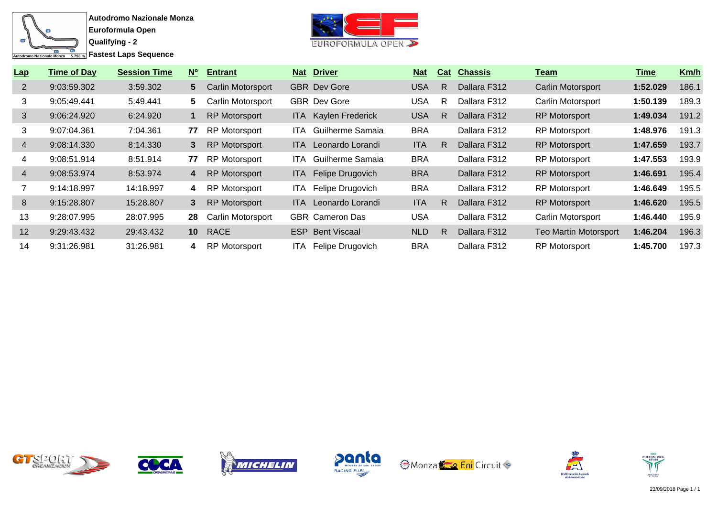

**Autodromo Nazionale Monza Euroformula Open**

**Qualifying - 2**



| Lap            | <b>Time of Day</b> | <b>Session Time</b> | $N^{\circ}$     | <b>Entrant</b>           |      | <b>Nat Driver</b>           | <u>Nat</u> | Cat | <b>Chassis</b> | <u>Team</u>                  | <u>Time</u> | Km/h  |
|----------------|--------------------|---------------------|-----------------|--------------------------|------|-----------------------------|------------|-----|----------------|------------------------------|-------------|-------|
| 2              | 9:03:59.302        | 3:59.302            | $5^{\circ}$     | <b>Carlin Motorsport</b> |      | <b>GBR</b> Dev Gore         | USA        | R   | Dallara F312   | Carlin Motorsport            | 1:52.029    | 186.1 |
| 3              | 9:05:49.441        | 5:49.441            | 5.              | <b>Carlin Motorsport</b> |      | <b>GBR</b> Dev Gore         | USA        | R   | Dallara F312   | Carlin Motorsport            | 1:50.139    | 189.3 |
| 3              | 9:06:24.920        | 6:24.920            |                 | <b>RP Motorsport</b>     |      | <b>ITA</b> Kaylen Frederick | <b>USA</b> | R   | Dallara F312   | <b>RP Motorsport</b>         | 1:49.034    | 191.2 |
| 3              | 9:07:04.361        | 7:04.361            | 77              | <b>RP Motorsport</b>     | ITA. | Guilherme Samaia            | <b>BRA</b> |     | Dallara F312   | <b>RP Motorsport</b>         | 1:48.976    | 191.3 |
| $\overline{4}$ | 9:08:14.330        | 8:14.330            | 3               | <b>RP Motorsport</b>     |      | <b>ITA</b> Leonardo Lorandi | <b>ITA</b> | R   | Dallara F312   | <b>RP Motorsport</b>         | 1:47.659    | 193.7 |
| 4              | 9:08:51.914        | 8:51.914            | 77              | <b>RP Motorsport</b>     | ITA. | Guilherme Samaia            | <b>BRA</b> |     | Dallara F312   | <b>RP Motorsport</b>         | 1:47.553    | 193.9 |
| $\overline{4}$ | 9:08:53.974        | 8:53.974            | 4               | <b>RP Motorsport</b>     |      | ITA Felipe Drugovich        | <b>BRA</b> |     | Dallara F312   | <b>RP Motorsport</b>         | 1:46.691    | 195.4 |
|                | 9:14:18.997        | 14:18.997           | 4               | <b>RP Motorsport</b>     | ITA. | Felipe Drugovich            | <b>BRA</b> |     | Dallara F312   | <b>RP Motorsport</b>         | 1:46.649    | 195.5 |
| 8              | 9:15:28.807        | 15:28.807           | 3               | <b>RP Motorsport</b>     | ITA. | Leonardo Lorandi            | <b>ITA</b> | R   | Dallara F312   | <b>RP Motorsport</b>         | 1:46.620    | 195.5 |
| 13             | 9:28:07.995        | 28:07.995           | 28              | <b>Carlin Motorsport</b> |      | <b>GBR</b> Cameron Das      | USA        |     | Dallara F312   | Carlin Motorsport            | 1:46.440    | 195.9 |
| 12             | 9:29:43.432        | 29:43.432           | 10 <sup>°</sup> | <b>RACE</b>              |      | <b>ESP</b> Bent Viscaal     | <b>NLD</b> | R   | Dallara F312   | <b>Teo Martin Motorsport</b> | 1:46.204    | 196.3 |
| 14             | 9:31:26.981        | 31:26.981           | 4               | <b>RP Motorsport</b>     | ITA. | Felipe Drugovich            | <b>BRA</b> |     | Dallara F312   | <b>RP Motorsport</b>         | 1:45.700    | 197.3 |













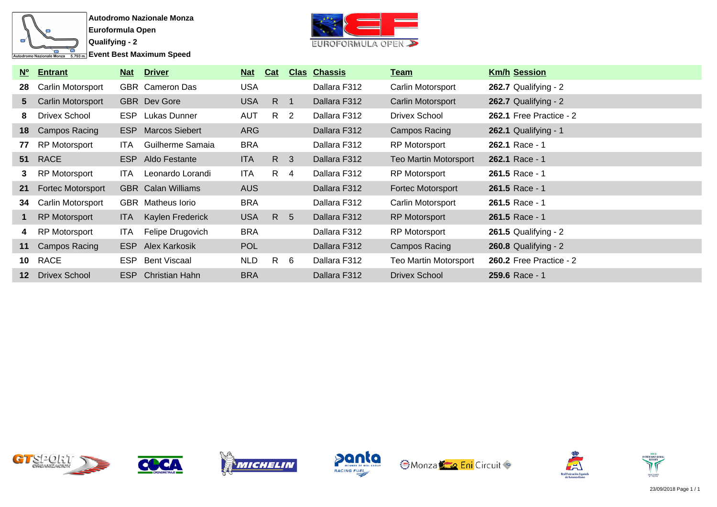

**Event Best Maximum Speed** 



| N°      | <b>Entrant</b>           | <u>Nat</u> | <b>Driver</b>             | <b>Nat</b> | Cat             |                | <b>Clas Chassis</b> | <u>Team</u>                  | <b>Km/h Session</b>            |
|---------|--------------------------|------------|---------------------------|------------|-----------------|----------------|---------------------|------------------------------|--------------------------------|
| 28      | Carlin Motorsport        |            | <b>GBR</b> Cameron Das    | <b>USA</b> |                 |                | Dallara F312        | Carlin Motorsport            | 262.7 Qualifying - $2$         |
| 5       | Carlin Motorsport        |            | <b>GBR</b> Dev Gore       | <b>USA</b> | R               | $\overline{1}$ | Dallara F312        | Carlin Motorsport            | 262.7 Qualifying - $2$         |
| 8.      | Drivex School            |            | ESP Lukas Dunner          | <b>AUT</b> | R <sub>2</sub>  |                | Dallara F312        | <b>Drivex School</b>         | 262.1 Free Practice - 2        |
| 18      | Campos Racing            | ESP        | <b>Marcos Siebert</b>     | <b>ARG</b> |                 |                | Dallara F312        | Campos Racing                | $262.1$ Qualifying - 1         |
| 77      | <b>RP Motorsport</b>     | ITA.       | Guilherme Samaia          | <b>BRA</b> |                 |                | Dallara F312        | <b>RP Motorsport</b>         | 262.1 Race - 1                 |
| 51      | <b>RACE</b>              | <b>ESP</b> | Aldo Festante             | <b>ITA</b> | R 3             |                | Dallara F312        | <b>Teo Martin Motorsport</b> | 262.1 Race - 1                 |
| 3       | <b>RP Motorsport</b>     | ITA.       | Leonardo Lorandi          | ITA.       | $R \quad 4$     |                | Dallara F312        | RP Motorsport                | 261.5 Race - 1                 |
| 21      | <b>Fortec Motorsport</b> |            | <b>GBR</b> Calan Williams | <b>AUS</b> |                 |                | Dallara F312        | <b>Fortec Motorsport</b>     | $261.5$ Race - 1               |
| 34      | Carlin Motorsport        |            | <b>GBR</b> Matheus lorio  | <b>BRA</b> |                 |                | Dallara F312        | Carlin Motorsport            | 261.5 Race - 1                 |
|         | RP Motorsport            | ITA.       | Kaylen Frederick          | <b>USA</b> | R               | - 5            | Dallara F312        | <b>RP Motorsport</b>         | 261.5 Race - 1                 |
| 4       | <b>RP Motorsport</b>     | ITA.       | Felipe Drugovich          | <b>BRA</b> |                 |                | Dallara F312        | <b>RP Motorsport</b>         | 261.5 Qualifying - $2$         |
| 11      | Campos Racing            | <b>ESP</b> | Alex Karkosik             | <b>POL</b> |                 |                | Dallara F312        | Campos Racing                | 260.8 Qualifying - 2           |
| 10      | RACE                     | ESP        | Bent Viscaal              | <b>NLD</b> | $R_{\parallel}$ | - 6            | Dallara F312        | <b>Teo Martin Motorsport</b> | <b>260.2 Free Practice - 2</b> |
| $12 \,$ | <b>Drivex School</b>     | ESP        | Christian Hahn            | <b>BRA</b> |                 |                | Dallara F312        | <b>Drivex School</b>         | 259.6 Race - 1                 |













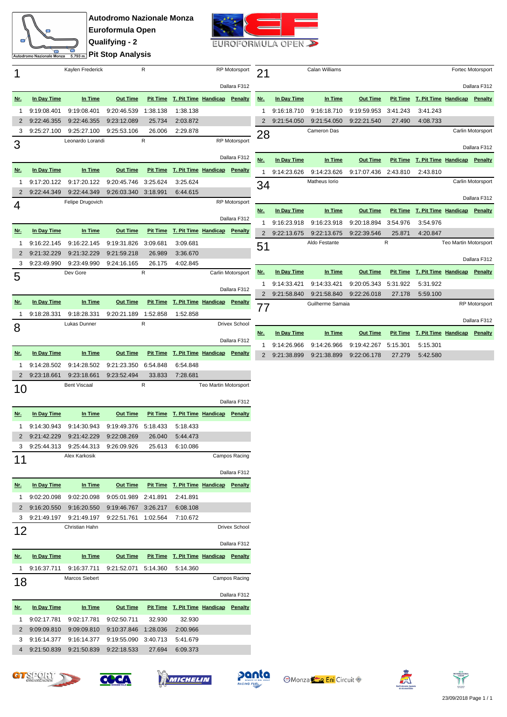

**Autodromo Nazionale Monza Euroformula Open Qualifying - 2 Pit Stop Analysis**



|                     | Autodromo Nazionale Monza  |                            | <del>கணை</del> Pit Stop Analysis |                      |                                       |                       |                      |  |  |
|---------------------|----------------------------|----------------------------|----------------------------------|----------------------|---------------------------------------|-----------------------|----------------------|--|--|
| 1                   |                            | Kaylen Frederick           |                                  | R                    |                                       |                       | <b>RP Motorsport</b> |  |  |
|                     |                            |                            |                                  |                      |                                       |                       | Dallara F312         |  |  |
| <u>Nr.</u>          | In Day Time                | In Time                    | <b>Out Time</b>                  |                      | Pit Time T. Pit Time Handicap         |                       | Penalty              |  |  |
| 1                   | 9:19:08.401                | 9:19:08.401                | 9:20:46.539                      | 1:38.138             | 1:38.138                              |                       |                      |  |  |
| $\overline{2}$      | 9:22:46.355                | 9:22:46.355                | 9:23:12.089                      | 25.734               | 2:03.872                              |                       |                      |  |  |
| 3                   | 9:25:27.100                | 9:25:27.100                | 9:25:53.106                      | 26.006               | 2:29.878                              |                       |                      |  |  |
| 3                   |                            | Leonardo Lorandi           |                                  | R                    |                                       | <b>RP Motorsport</b>  |                      |  |  |
|                     |                            |                            |                                  |                      |                                       |                       | Dallara F312         |  |  |
| <u>Nr.</u>          | In Day Time                | In Time                    | <b>Out Time</b>                  |                      | Pit Time T. Pit Time Handicap Penalty |                       |                      |  |  |
|                     |                            |                            |                                  |                      |                                       |                       |                      |  |  |
| 1<br>$\overline{2}$ | 9:17:20.122<br>9:22:44.349 | 9:17:20.122<br>9:22:44.349 | 9:20:45.746<br>9:26:03.340       | 3:25.624<br>3:18.991 | 3:25.624<br>6:44.615                  |                       |                      |  |  |
|                     |                            | Felipe Drugovich           |                                  |                      |                                       |                       | RP Motorsport        |  |  |
| 4                   |                            |                            |                                  |                      |                                       |                       |                      |  |  |
|                     |                            |                            |                                  |                      |                                       |                       | Dallara F312         |  |  |
| <u>Nr.</u>          | In Day Time                | In Time                    | <b>Out Time</b>                  | <b>Pit Time</b>      | T. Pit Time Handicap Penalty          |                       |                      |  |  |
| 1                   | 9:16:22.145                | 9:16:22.145                | 9:19:31.826                      | 3:09.681             | 3:09.681                              |                       |                      |  |  |
| $\overline{2}$      | 9:21:32.229                | 9:21:32.229                | 9:21:59.218                      | 26.989               | 3:36.670                              |                       |                      |  |  |
| 3                   | 9:23:49.990                | 9:23:49.990                | 9:24:16.165                      | 26.175               | 4:02.845                              |                       |                      |  |  |
| 5                   |                            | Dev Gore                   |                                  | R                    |                                       |                       | Carlin Motorsport    |  |  |
|                     |                            |                            |                                  |                      |                                       |                       | Dallara F312         |  |  |
|                     |                            |                            |                                  |                      |                                       |                       |                      |  |  |
| <u>Nr.</u>          | In Day Time                | In Time                    | <b>Out Time</b>                  |                      | Pit Time T. Pit Time Handicap Penalty |                       |                      |  |  |
| 1                   | 9:18:28.331                | 9:18:28.331                | 9:20:21.189                      | 1:52.858             | 1:52.858                              |                       |                      |  |  |
| 8                   |                            | Lukas Dunner               |                                  | R                    |                                       |                       | Drivex School        |  |  |
|                     |                            |                            |                                  |                      |                                       |                       | Dallara F312         |  |  |
| <u>Nr.</u>          | In Day Time                | In Time                    | <b>Out Time</b>                  |                      | Pit Time T. Pit Time Handicap Penalty |                       |                      |  |  |
| 1                   | 9:14:28.502                | 9:14:28.502                | 9:21:23.350                      | 6:54.848             | 6:54.848                              |                       |                      |  |  |
| $\overline{2}$      | 9:23:18.661                | 9:23:18.661                | 9:23:52.494                      | 33.833               | 7:28.681                              |                       |                      |  |  |
|                     |                            | <b>Bent Viscaal</b>        |                                  | R                    |                                       | Teo Martin Motorsport |                      |  |  |
| 10                  |                            |                            |                                  |                      |                                       |                       |                      |  |  |
|                     |                            |                            |                                  |                      |                                       |                       | Dallara F312         |  |  |
| <u>Nr.</u>          | In Day Time                | In Time                    | <b>Out Time</b>                  |                      | Pit Time T. Pit Time Handicap Penalty |                       |                      |  |  |
| 1                   | 9:14:30.943                | 9:14:30.943                | 9:19:49.376                      | 5:18.433             | 5:18.433                              |                       |                      |  |  |
| 2                   | 9:21:42.229                | 9:21:42.229                | 9:22:08.269                      | 26.040               | 5:44.473                              |                       |                      |  |  |
| 3                   | 9:25:44.313                | 9:25:44.313                | 9:26:09.926                      | 25.613               | 6:10.086                              |                       |                      |  |  |
| 11                  |                            | Alex Karkosik              |                                  |                      |                                       |                       | Campos Racing        |  |  |
|                     |                            |                            |                                  |                      |                                       |                       | Dallara F312         |  |  |
| <u>Nr.</u>          | In Day Time                | In Time                    | <b>Out Time</b>                  | <u>Pit Time</u>      | T. Pit Time Handicap Penalty          |                       |                      |  |  |
| 1                   | 9:02:20.098                | 9:02:20.098                | 9:05:01.989                      | 2:41.891             | 2:41.891                              |                       |                      |  |  |
| 2                   | 9:16:20.550                | 9:16:20.550                | 9:19:46.767                      | 3:26.217             | 6:08.108                              |                       |                      |  |  |
| 3                   | 9:21:49.197                | 9:21:49.197                | 9:22:51.761                      | 1:02.564             | 7:10.672                              |                       |                      |  |  |
| 12                  |                            | Christian Hahn             |                                  |                      |                                       |                       | Drivex School        |  |  |
|                     |                            |                            |                                  |                      |                                       |                       |                      |  |  |
|                     |                            |                            |                                  |                      |                                       |                       | Dallara F312         |  |  |
| <u>Nr.</u>          | In Day Time                | In Time                    | <b>Out Time</b>                  | <u>Pit Time</u>      | T. Pit Time Handicap                  |                       | Penalty              |  |  |
| 1                   | 9:16:37.711                | 9:16:37.711                | 9:21:52.071                      | 5:14.360             | 5:14.360                              |                       |                      |  |  |
| 18                  |                            | Marcos Siebert             |                                  |                      |                                       |                       | Campos Racing        |  |  |
|                     |                            |                            |                                  |                      |                                       |                       | Dallara F312         |  |  |
| <u>Nr.</u>          | In Day Time                | In Time                    | <b>Out Time</b>                  | <b>Pit Time</b>      | T. Pit Time Handicap Penalty          |                       |                      |  |  |
|                     |                            | 9:02:17.781                | 9:02:50.711                      |                      |                                       |                       |                      |  |  |
|                     |                            |                            |                                  | 32.930               | 32.930                                |                       |                      |  |  |
| 1                   | 9:02:17.781                |                            |                                  |                      |                                       |                       |                      |  |  |
| 2<br>3              | 9:09:09.810<br>9:16:14.377 | 9:09:09.810<br>9:16:14.377 | 9:10:37.846<br>9:19:55.090       | 1:28.036<br>3:40.713 | 2:00.966<br>5:41.679                  |                       |                      |  |  |

| 21             |                    | Calan Williams |                 |                 |                      |                       | Fortec Motorsport |
|----------------|--------------------|----------------|-----------------|-----------------|----------------------|-----------------------|-------------------|
|                |                    |                |                 |                 |                      |                       | Dallara F312      |
| Nr.            | In Day Time        | In Time        | <b>Out Time</b> | <b>Pit Time</b> | T. Pit Time Handicap |                       | Penalty           |
| 1              | 9:16:18.710        | 9:16:18.710    | 9:19:59.953     | 3:41.243        | 3:41.243             |                       |                   |
| $\overline{2}$ | 9:21:54.050        | 9:21:54.050    | 9:22:21.540     | 27.490          | 4:08.733             |                       |                   |
| 28             |                    | Cameron Das    |                 |                 |                      |                       | Carlin Motorsport |
|                |                    |                |                 |                 |                      |                       | Dallara F312      |
| Nr.            | In Day Time        | In Time        | <b>Out Time</b> | <b>Pit Time</b> | T. Pit Time Handicap |                       | Penalty           |
| 1              | 9:14:23.626        | 9:14:23.626    | 9:17:07.436     | 2:43.810        | 2:43.810             |                       |                   |
| 34             |                    | Matheus Iorio  |                 |                 |                      |                       | Carlin Motorsport |
|                |                    |                |                 |                 |                      |                       | Dallara F312      |
| Nr.            | In Day Time        | In Time        | <b>Out Time</b> | <b>Pit Time</b> | T. Pit Time Handicap |                       | Penalty           |
| 1              | 9:16:23.918        | 9:16:23.918    | 9:20:18.894     | 3:54.976        | 3:54.976             |                       |                   |
| $\overline{2}$ | 9:22:13.675        | 9:22:13.675    | 9:22:39.546     | 25.871          | 4:20.847             |                       |                   |
| 51             | R<br>Aldo Festante |                |                 |                 |                      | Teo Martin Motorsport |                   |
|                |                    |                |                 |                 |                      |                       | Dallara F312      |
| Nr.            | In Day Time        | In Time        | <b>Out Time</b> | <b>Pit Time</b> | T. Pit Time Handicap |                       | Penalty           |
| 1              | 9:14:33.421        | 9:14:33.421    | 9:20:05.343     | 5:31.922        | 5:31.922             |                       |                   |
| $\overline{2}$ | 9:21:58.840        | 9:21:58.840    | 9:22:26.018     | 27.178          | 5:59.100             |                       |                   |
| 77             |                    |                |                 |                 | <b>RP</b> Motorsport |                       |                   |
|                |                    |                |                 |                 |                      |                       | Dallara F312      |
| Nr.            | In Day Time        | In Time        | <b>Out Time</b> | <b>Pit Time</b> | T. Pit Time Handicap |                       | Penalty           |
|                |                    |                |                 |                 |                      |                       |                   |
| 1              | 9:14:26.966        | 9:14:26.966    | 9:19:42.267     | 5:15.301        | 5:15.301             |                       |                   |
| 2              | 9:21:38.899        | 9:21:38.899    | 9:22:06.178     | 27.279          | 5:42.580             |                       |                   |